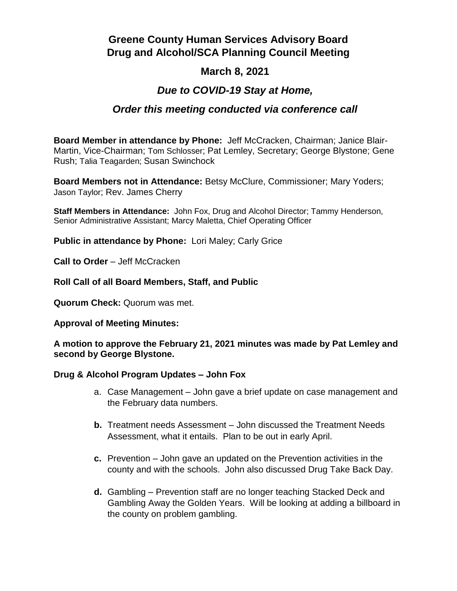# **Greene County Human Services Advisory Board Drug and Alcohol/SCA Planning Council Meeting**

## **March 8, 2021**

## *Due to COVID-19 Stay at Home,*

## *Order this meeting conducted via conference call*

**Board Member in attendance by Phone:** Jeff McCracken, Chairman; Janice Blair-Martin, Vice-Chairman; Tom Schlosser; Pat Lemley, Secretary; George Blystone; Gene Rush; Talia Teagarden; Susan Swinchock

**Board Members not in Attendance:** Betsy McClure, Commissioner; Mary Yoders; Jason Taylor; Rev. James Cherry

**Staff Members in Attendance:** John Fox, Drug and Alcohol Director; Tammy Henderson, Senior Administrative Assistant; Marcy Maletta, Chief Operating Officer

**Public in attendance by Phone:** Lori Maley; Carly Grice

**Call to Order** – Jeff McCracken

**Roll Call of all Board Members, Staff, and Public**

**Quorum Check:** Quorum was met.

**Approval of Meeting Minutes:**

**A motion to approve the February 21, 2021 minutes was made by Pat Lemley and second by George Blystone.**

#### **Drug & Alcohol Program Updates – John Fox**

- a. Case Management John gave a brief update on case management and the February data numbers.
- **b.** Treatment needs Assessment John discussed the Treatment Needs Assessment, what it entails. Plan to be out in early April.
- **c.** Prevention John gave an updated on the Prevention activities in the county and with the schools. John also discussed Drug Take Back Day.
- **d.** Gambling Prevention staff are no longer teaching Stacked Deck and Gambling Away the Golden Years. Will be looking at adding a billboard in the county on problem gambling.